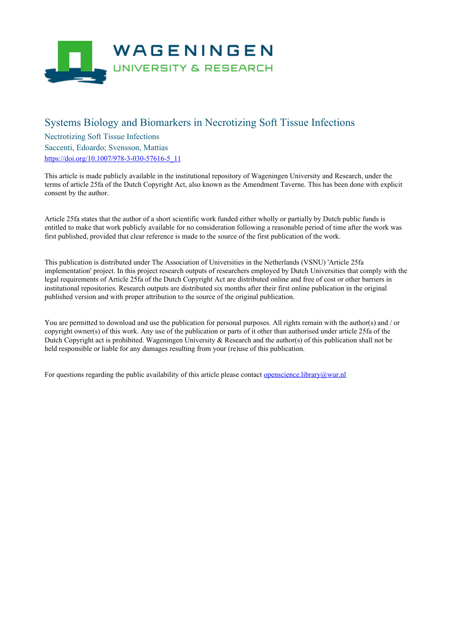

# Systems Biology and Biomarkers in Necrotizing Soft Tissue Infections

Nectrotizing Soft Tissue Infections Saccenti, Edoardo; Svensson, Mattias [https://doi.org/10.1007/978-3-030-57616-5\\_11](https://doi.org/10.1007/978-3-030-57616-5_11)

This article is made publicly available in the institutional repository of Wageningen University and Research, under the terms of article 25fa of the Dutch Copyright Act, also known as the Amendment Taverne. This has been done with explicit consent by the author.

Article 25fa states that the author of a short scientific work funded either wholly or partially by Dutch public funds is entitled to make that work publicly available for no consideration following a reasonable period of time after the work was first published, provided that clear reference is made to the source of the first publication of the work.

This publication is distributed under The Association of Universities in the Netherlands (VSNU) 'Article 25fa implementation' project. In this project research outputs of researchers employed by Dutch Universities that comply with the legal requirements of Article 25fa of the Dutch Copyright Act are distributed online and free of cost or other barriers in institutional repositories. Research outputs are distributed six months after their first online publication in the original published version and with proper attribution to the source of the original publication.

You are permitted to download and use the publication for personal purposes. All rights remain with the author(s) and / or copyright owner(s) of this work. Any use of the publication or parts of it other than authorised under article 25fa of the Dutch Copyright act is prohibited. Wageningen University & Research and the author(s) of this publication shall not be held responsible or liable for any damages resulting from your (re)use of this publication.

For questions regarding the public availability of this article please contact <u>[openscience.library@wur.nl](mailto:openscience.library@wur.nl)</u>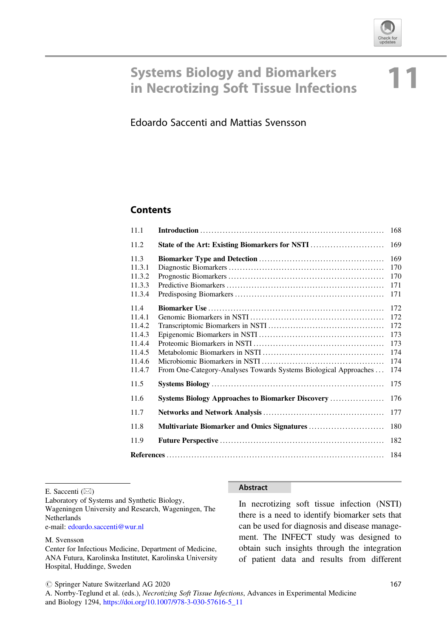

# Systems Biology and Biomarkers<br>
in Necrotizing Soft Tissue Infections

Edoardo Saccenti and Mattias Svensson

# **Contents**

| 11.1   |                                                                  | 168 |
|--------|------------------------------------------------------------------|-----|
| 11.2   | State of the Art: Existing Biomarkers for NSTI                   | 169 |
| 11.3   |                                                                  | 169 |
| 11.3.1 |                                                                  | 170 |
| 11.3.2 |                                                                  | 170 |
| 11.3.3 |                                                                  | 171 |
| 11.3.4 |                                                                  | 171 |
| 11.4   |                                                                  | 172 |
| 11.4.1 |                                                                  | 172 |
| 11.4.2 |                                                                  | 172 |
| 11.4.3 |                                                                  | 173 |
| 11.4.4 |                                                                  | 173 |
| 11.4.5 |                                                                  | 174 |
| 11.4.6 |                                                                  | 174 |
| 11.4.7 | From One-Category-Analyses Towards Systems Biological Approaches | 174 |
| 11.5   |                                                                  | 175 |
| 11.6   | <b>Systems Biology Approaches to Biomarker Discovery </b>        | 176 |
| 11.7   |                                                                  | 177 |
| 11.8   |                                                                  | 180 |
| 11.9   |                                                                  | 182 |
|        |                                                                  | 184 |

E. Saccenti  $(\boxtimes)$ 

Laboratory of Systems and Synthetic Biology,

Wageningen University and Research, Wageningen, The Netherlands e-mail: [edoardo.saccenti@wur.nl](mailto:edoardo.saccenti@wur.nl)

#### M. Svensson

Center for Infectious Medicine, Department of Medicine, ANA Futura, Karolinska Institutet, Karolinska University Hospital, Huddinge, Sweden

#### Abstract

In necrotizing soft tissue infection (NSTI) there is a need to identify biomarker sets that can be used for diagnosis and disease management. The INFECT study was designed to obtain such insights through the integration of patient data and results from different

 $\circ$  Springer Nature Switzerland AG 2020

A. Norrby-Teglund et al. (eds.), Necrotizing Soft Tissue Infections, Advances in Experimental Medicine and Biology 1294, [https://doi.org/10.1007/978-3-030-57616-5\\_11](https://doi.org/10.1007/978-3-030-57616-5_11#DOI)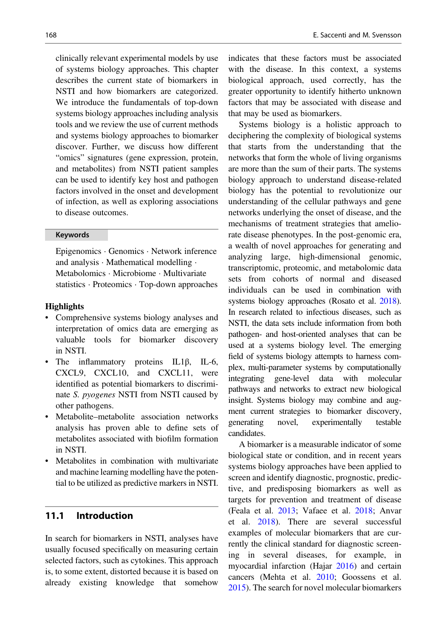clinically relevant experimental models by use of systems biology approaches. This chapter describes the current state of biomarkers in NSTI and how biomarkers are categorized. We introduce the fundamentals of top-down systems biology approaches including analysis tools and we review the use of current methods and systems biology approaches to biomarker discover. Further, we discuss how different "omics" signatures (gene expression, protein, and metabolites) from NSTI patient samples can be used to identify key host and pathogen factors involved in the onset and development of infection, as well as exploring associations to disease outcomes.

#### Keywords

Epigenomics · Genomics · Network inference and analysis · Mathematical modelling · Metabolomics · Microbiome · Multivariate statistics · Proteomics · Top-down approaches

#### Highlights

- Comprehensive systems biology analyses and interpretation of omics data are emerging as valuable tools for biomarker discovery in NSTI.
- The inflammatory proteins IL1β, IL-6, CXCL9, CXCL10, and CXCL11, were identified as potential biomarkers to discriminate S. pyogenes NSTI from NSTI caused by other pathogens.
- Metabolite–metabolite association networks analysis has proven able to define sets of metabolites associated with biofilm formation in NSTI.
- Metabolites in combination with multivariate and machine learning modelling have the potential to be utilized as predictive markers in NSTI.

# 11.1 Introduction

In search for biomarkers in NSTI, analyses have usually focused specifically on measuring certain selected factors, such as cytokines. This approach is, to some extent, distorted because it is based on already existing knowledge that somehow indicates that these factors must be associated with the disease. In this context, a systems biological approach, used correctly, has the greater opportunity to identify hitherto unknown factors that may be associated with disease and that may be used as biomarkers.

Systems biology is a holistic approach to deciphering the complexity of biological systems that starts from the understanding that the networks that form the whole of living organisms are more than the sum of their parts. The systems biology approach to understand disease-related biology has the potential to revolutionize our understanding of the cellular pathways and gene networks underlying the onset of disease, and the mechanisms of treatment strategies that ameliorate disease phenotypes. In the post-genomic era, a wealth of novel approaches for generating and analyzing large, high-dimensional genomic, transcriptomic, proteomic, and metabolomic data sets from cohorts of normal and diseased individuals can be used in combination with systems biology approaches (Rosato et al. [2018\)](#page-20-0). In research related to infectious diseases, such as NSTI, the data sets include information from both pathogen- and host-oriented analyses that can be used at a systems biology level. The emerging field of systems biology attempts to harness complex, multi-parameter systems by computationally integrating gene-level data with molecular pathways and networks to extract new biological insight. Systems biology may combine and augment current strategies to biomarker discovery, generating novel, experimentally testable candidates.

A biomarker is a measurable indicator of some biological state or condition, and in recent years systems biology approaches have been applied to screen and identify diagnostic, prognostic, predictive, and predisposing biomarkers as well as targets for prevention and treatment of disease (Feala et al. [2013](#page-18-0); Vafaee et al. [2018](#page-20-1); Anvar et al. [2018](#page-18-1)). There are several successful examples of molecular biomarkers that are currently the clinical standard for diagnostic screening in several diseases, for example, in myocardial infarction (Hajar [2016\)](#page-18-2) and certain cancers (Mehta et al. [2010](#page-19-0); Goossens et al. [2015\)](#page-18-3). The search for novel molecular biomarkers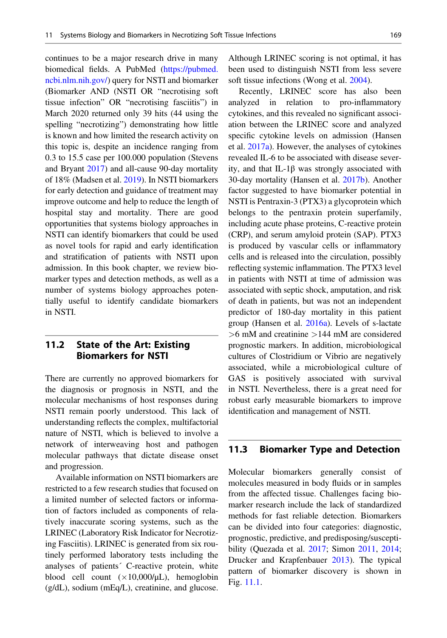continues to be a major research drive in many biomedical fields. A PubMed ([https://pubmed.](https://pubmed.ncbi.nlm.nih.gov/) [ncbi.nlm.nih.gov/](https://pubmed.ncbi.nlm.nih.gov/)) query for NSTI and biomarker (Biomarker AND (NSTI OR "necrotising soft tissue infection" OR "necrotising fasciitis") in March 2020 returned only 39 hits (44 using the spelling "necrotizing") demonstrating how little is known and how limited the research activity on this topic is, despite an incidence ranging from 0.3 to 15.5 case per 100.000 population (Stevens and Bryant [2017](#page-20-2)) and all-cause 90-day mortality of 18% (Madsen et al. [2019\)](#page-19-1). In NSTI biomarkers for early detection and guidance of treatment may improve outcome and help to reduce the length of hospital stay and mortality. There are good opportunities that systems biology approaches in NSTI can identify biomarkers that could be used as novel tools for rapid and early identification and stratification of patients with NSTI upon admission. In this book chapter, we review biomarker types and detection methods, as well as a number of systems biology approaches potentially useful to identify candidate biomarkers in NSTI.

# 11.2 State of the Art: Existing Biomarkers for NSTI

There are currently no approved biomarkers for the diagnosis or prognosis in NSTI, and the molecular mechanisms of host responses during NSTI remain poorly understood. This lack of understanding reflects the complex, multifactorial nature of NSTI, which is believed to involve a network of interweaving host and pathogen molecular pathways that dictate disease onset and progression.

Available information on NSTI biomarkers are restricted to a few research studies that focused on a limited number of selected factors or information of factors included as components of relatively inaccurate scoring systems, such as the LRINEC (Laboratory Risk Indicator for Necrotizing Fasciitis). LRINEC is generated from six routinely performed laboratory tests including the analyses of patients´ C-reactive protein, white blood cell count  $(\times 10,000/\mu L)$ , hemoglobin (g/dL), sodium (mEq/L), creatinine, and glucose.

Although LRINEC scoring is not optimal, it has been used to distinguish NSTI from less severe soft tissue infections (Wong et al. [2004\)](#page-20-3).

Recently, LRINEC score has also been analyzed in relation to pro-inflammatory cytokines, and this revealed no significant association between the LRINEC score and analyzed specific cytokine levels on admission (Hansen et al. [2017a](#page-19-2)). However, the analyses of cytokines revealed IL-6 to be associated with disease severity, and that IL-1β was strongly associated with 30-day mortality (Hansen et al. [2017b](#page-19-3)). Another factor suggested to have biomarker potential in NSTI is Pentraxin-3 (PTX3) a glycoprotein which belongs to the pentraxin protein superfamily, including acute phase proteins, C-reactive protein (CRP), and serum amyloid protein (SAP). PTX3 is produced by vascular cells or inflammatory cells and is released into the circulation, possibly reflecting systemic inflammation. The PTX3 level in patients with NSTI at time of admission was associated with septic shock, amputation, and risk of death in patients, but was not an independent predictor of 180-day mortality in this patient group (Hansen et al. [2016a\)](#page-18-4). Levels of s-lactate >6 mM and creatinine >144 mM are considered prognostic markers. In addition, microbiological cultures of Clostridium or Vibrio are negatively associated, while a microbiological culture of GAS is positively associated with survival in NSTI. Nevertheless, there is a great need for robust early measurable biomarkers to improve identification and management of NSTI.

#### 11.3 Biomarker Type and Detection

Molecular biomarkers generally consist of molecules measured in body fluids or in samples from the affected tissue. Challenges facing biomarker research include the lack of standardized methods for fast reliable detection. Biomarkers can be divided into four categories: diagnostic, prognostic, predictive, and predisposing/susceptibility (Quezada et al. [2017](#page-20-4); Simon [2011,](#page-20-5) [2014;](#page-20-6) Drucker and Krapfenbauer [2013\)](#page-18-5). The typical pattern of biomarker discovery is shown in Fig. [11.1.](#page-4-0)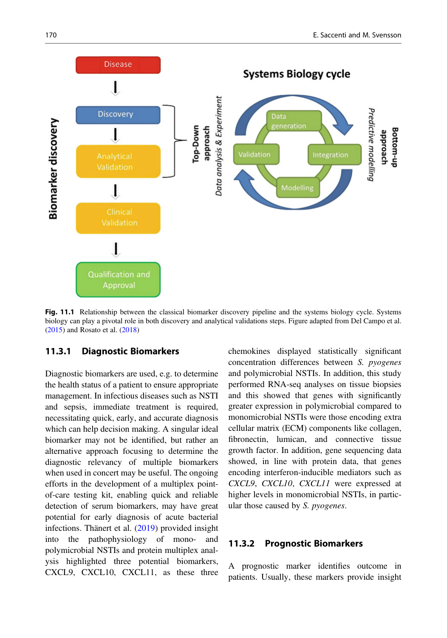<span id="page-4-0"></span>

Fig. 11.1 Relationship between the classical biomarker discovery pipeline and the systems biology cycle. Systems biology can play a pivotal role in both discovery and analytical validations steps. Figure adapted from Del Campo et al. ([2015\)](#page-18-6) and Rosato et al. ([2018\)](#page-20-0)

#### 11.3.1 Diagnostic Biomarkers

<span id="page-4-1"></span>Diagnostic biomarkers are used, e.g. to determine the health status of a patient to ensure appropriate management. In infectious diseases such as NSTI and sepsis, immediate treatment is required, necessitating quick, early, and accurate diagnosis which can help decision making. A singular ideal biomarker may not be identified, but rather an alternative approach focusing to determine the diagnostic relevancy of multiple biomarkers when used in concert may be useful. The ongoing efforts in the development of a multiplex pointof-care testing kit, enabling quick and reliable detection of serum biomarkers, may have great potential for early diagnosis of acute bacterial infections. Thänert et al. [\(2019](#page-20-7)) provided insight into the pathophysiology of mono- and polymicrobial NSTIs and protein multiplex analysis highlighted three potential biomarkers, CXCL9, CXCL10, CXCL11, as these three chemokines displayed statistically significant concentration differences between S. pyogenes and polymicrobial NSTIs. In addition, this study performed RNA-seq analyses on tissue biopsies and this showed that genes with significantly greater expression in polymicrobial compared to monomicrobial NSTIs were those encoding extra cellular matrix (ECM) components like collagen, fibronectin, lumican, and connective tissue growth factor. In addition, gene sequencing data showed, in line with protein data, that genes encoding interferon-inducible mediators such as CXCL9, CXCL10, CXCL11 were expressed at higher levels in monomicrobial NSTIs, in particular those caused by S. pyogenes.

# 11.3.2 Prognostic Biomarkers

A prognostic marker identifies outcome in patients. Usually, these markers provide insight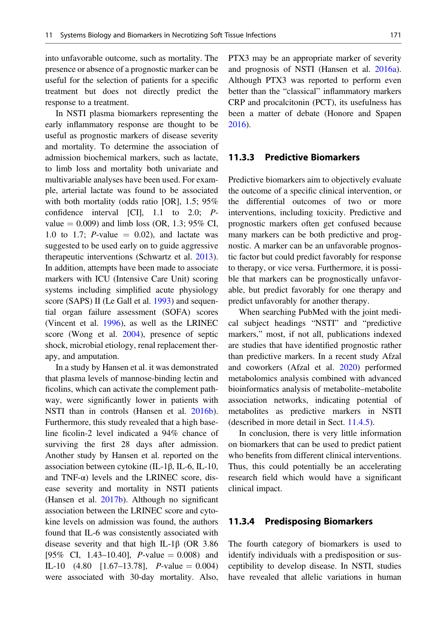into unfavorable outcome, such as mortality. The presence or absence of a prognostic marker can be useful for the selection of patients for a specific treatment but does not directly predict the response to a treatment.

In NSTI plasma biomarkers representing the early inflammatory response are thought to be useful as prognostic markers of disease severity and mortality. To determine the association of admission biochemical markers, such as lactate, to limb loss and mortality both univariate and multivariable analyses have been used. For example, arterial lactate was found to be associated with both mortality (odds ratio [OR], 1.5; 95% confidence interval [CI], 1.1 to 2.0; Pvalue  $= 0.009$ ) and limb loss (OR, 1.3; 95% CI, 1.0 to 1.7;  $P$ -value  $= 0.02$ ), and lactate was suggested to be used early on to guide aggressive therapeutic interventions (Schwartz et al. [2013\)](#page-20-8). In addition, attempts have been made to associate markers with ICU (Intensive Care Unit) scoring systems including simplified acute physiology score (SAPS) II (Le Gall et al. [1993](#page-19-3)) and sequential organ failure assessment (SOFA) scores (Vincent et al. [1996](#page-20-9)), as well as the LRINEC score (Wong et al. [2004](#page-20-3)), presence of septic shock, microbial etiology, renal replacement therapy, and amputation.

In a study by Hansen et al. it was demonstrated that plasma levels of mannose-binding lectin and ficolins, which can activate the complement pathway, were significantly lower in patients with NSTI than in controls (Hansen et al. [2016b\)](#page-19-4). Furthermore, this study revealed that a high baseline ficolin-2 level indicated a 94% chance of surviving the first 28 days after admission. Another study by Hansen et al. reported on the association between cytokine (IL-1β, IL-6, IL-10, and TNF- $\alpha$ ) levels and the LRINEC score, disease severity and mortality in NSTI patients (Hansen et al. [2017b\)](#page-19-3). Although no significant association between the LRINEC score and cytokine levels on admission was found, the authors found that IL-6 was consistently associated with disease severity and that high IL-1β (OR 3.86 [95% CI, 1.43–10.40], *P*-value  $= 0.008$  and IL-10  $(4.80 \quad [1.67-13.78],$  P-value = 0.004) were associated with 30-day mortality. Also,

PTX3 may be an appropriate marker of severity and prognosis of NSTI (Hansen et al. [2016a\)](#page-18-4). Although PTX3 was reported to perform even better than the "classical" inflammatory markers CRP and procalcitonin (PCT), its usefulness has been a matter of debate (Honore and Spapen [2016\)](#page-19-0).

#### 11.3.3 Predictive Biomarkers

Predictive biomarkers aim to objectively evaluate the outcome of a specific clinical intervention, or the differential outcomes of two or more interventions, including toxicity. Predictive and prognostic markers often get confused because many markers can be both predictive and prognostic. A marker can be an unfavorable prognostic factor but could predict favorably for response to therapy, or vice versa. Furthermore, it is possible that markers can be prognostically unfavorable, but predict favorably for one therapy and predict unfavorably for another therapy.

When searching PubMed with the joint medical subject headings "NSTI" and "predictive markers," most, if not all, publications indexed are studies that have identified prognostic rather than predictive markers. In a recent study Afzal and coworkers (Afzal et al. [2020\)](#page-18-7) performed metabolomics analysis combined with advanced bioinformatics analysis of metabolite–metabolite association networks, indicating potential of metabolites as predictive markers in NSTI (described in more detail in Sect. [11.4.5\)](#page-8-0).

In conclusion, there is very little information on biomarkers that can be used to predict patient who benefits from different clinical interventions. Thus, this could potentially be an accelerating research field which would have a significant clinical impact.

#### 11.3.4 Predisposing Biomarkers

The fourth category of biomarkers is used to identify individuals with a predisposition or susceptibility to develop disease. In NSTI, studies have revealed that allelic variations in human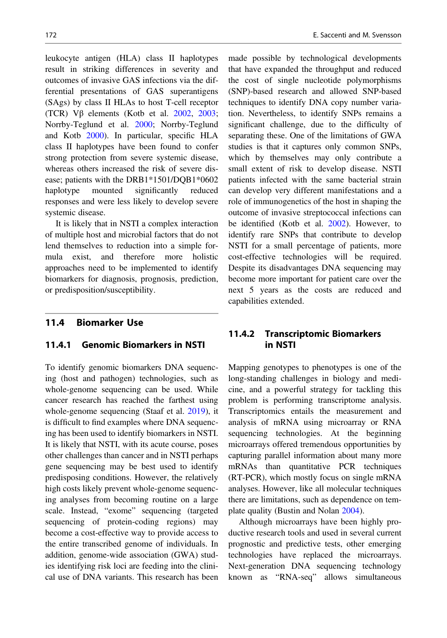leukocyte antigen (HLA) class II haplotypes result in striking differences in severity and outcomes of invasive GAS infections via the differential presentations of GAS superantigens (SAgs) by class II HLAs to host T-cell receptor (TCR)  $V\beta$  elements (Kotb et al. [2002](#page-19-4), [2003;](#page-19-2) Norrby-Teglund et al. [2000](#page-19-5); Norrby-Teglund and Kotb [2000](#page-19-6)). In particular, specific HLA class II haplotypes have been found to confer strong protection from severe systemic disease, whereas others increased the risk of severe disease; patients with the DRB1\*1501/DQB1\*0602 haplotype mounted significantly reduced responses and were less likely to develop severe systemic disease.

It is likely that in NSTI a complex interaction of multiple host and microbial factors that do not lend themselves to reduction into a simple formula exist, and therefore more holistic approaches need to be implemented to identify biomarkers for diagnosis, prognosis, prediction, or predisposition/susceptibility.

# 11.4 Biomarker Use

#### 11.4.1 Genomic Biomarkers in NSTI

To identify genomic biomarkers DNA sequencing (host and pathogen) technologies, such as whole-genome sequencing can be used. While cancer research has reached the farthest using whole-genome sequencing (Staaf et al. [2019\)](#page-20-10), it is difficult to find examples where DNA sequencing has been used to identify biomarkers in NSTI. It is likely that NSTI, with its acute course, poses other challenges than cancer and in NSTI perhaps gene sequencing may be best used to identify predisposing conditions. However, the relatively high costs likely prevent whole-genome sequencing analyses from becoming routine on a large scale. Instead, "exome" sequencing (targeted sequencing of protein-coding regions) may become a cost-effective way to provide access to the entire transcribed genome of individuals. In addition, genome-wide association (GWA) studies identifying risk loci are feeding into the clinical use of DNA variants. This research has been

made possible by technological developments that have expanded the throughput and reduced the cost of single nucleotide polymorphisms (SNP)-based research and allowed SNP-based techniques to identify DNA copy number variation. Nevertheless, to identify SNPs remains a significant challenge, due to the difficulty of separating these. One of the limitations of GWA studies is that it captures only common SNPs, which by themselves may only contribute a small extent of risk to develop disease. NSTI patients infected with the same bacterial strain can develop very different manifestations and a role of immunogenetics of the host in shaping the outcome of invasive streptococcal infections can be identified (Kotb et al. [2002\)](#page-19-4). However, to identify rare SNPs that contribute to develop NSTI for a small percentage of patients, more cost-effective technologies will be required. Despite its disadvantages DNA sequencing may become more important for patient care over the next 5 years as the costs are reduced and capabilities extended.

# 11.4.2 Transcriptomic Biomarkers in NSTI

Mapping genotypes to phenotypes is one of the long-standing challenges in biology and medicine, and a powerful strategy for tackling this problem is performing transcriptome analysis. Transcriptomics entails the measurement and analysis of mRNA using microarray or RNA sequencing technologies. At the beginning microarrays offered tremendous opportunities by capturing parallel information about many more mRNAs than quantitative PCR techniques (RT-PCR), which mostly focus on single mRNA analyses. However, like all molecular techniques there are limitations, such as dependence on template quality (Bustin and Nolan [2004](#page-18-8)).

Although microarrays have been highly productive research tools and used in several current prognostic and predictive tests, other emerging technologies have replaced the microarrays. Next-generation DNA sequencing technology known as "RNA-seq" allows simultaneous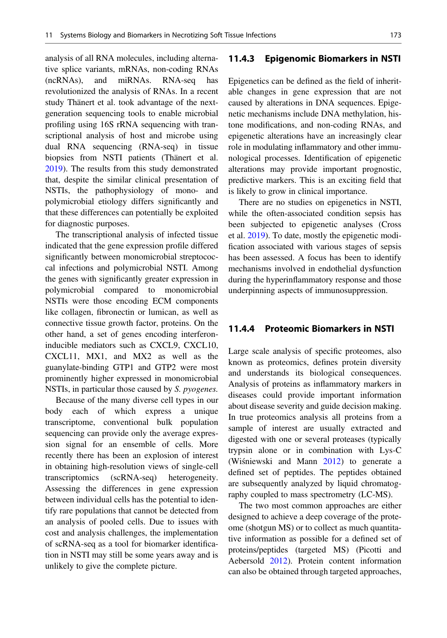analysis of all RNA molecules, including alternative splice variants, mRNAs, non-coding RNAs (ncRNAs), and miRNAs. RNA-seq has revolutionized the analysis of RNAs. In a recent study Thänert et al. took advantage of the nextgeneration sequencing tools to enable microbial profiling using 16S rRNA sequencing with transcriptional analysis of host and microbe using dual RNA sequencing (RNA-seq) in tissue biopsies from NSTI patients (Thänert et al. [2019\)](#page-20-7). The results from this study demonstrated that, despite the similar clinical presentation of NSTIs, the pathophysiology of mono- and polymicrobial etiology differs significantly and that these differences can potentially be exploited for diagnostic purposes.

The transcriptional analysis of infected tissue indicated that the gene expression profile differed significantly between monomicrobial streptococcal infections and polymicrobial NSTI. Among the genes with significantly greater expression in polymicrobial compared to monomicrobial NSTIs were those encoding ECM components like collagen, fibronectin or lumican, as well as connective tissue growth factor, proteins. On the other hand, a set of genes encoding interferoninducible mediators such as CXCL9, CXCL10, CXCL11, MX1, and MX2 as well as the guanylate-binding GTP1 and GTP2 were most prominently higher expressed in monomicrobial NSTIs, in particular those caused by S. pyogenes.

Because of the many diverse cell types in our body each of which express a unique transcriptome, conventional bulk population sequencing can provide only the average expression signal for an ensemble of cells. More recently there has been an explosion of interest in obtaining high-resolution views of single-cell transcriptomics (scRNA-seq) heterogeneity. Assessing the differences in gene expression between individual cells has the potential to identify rare populations that cannot be detected from an analysis of pooled cells. Due to issues with cost and analysis challenges, the implementation of scRNA-seq as a tool for biomarker identification in NSTI may still be some years away and is unlikely to give the complete picture.

#### 11.4.3 Epigenomic Biomarkers in NSTI

Epigenetics can be defined as the field of inheritable changes in gene expression that are not caused by alterations in DNA sequences. Epigenetic mechanisms include DNA methylation, histone modifications, and non-coding RNAs, and epigenetic alterations have an increasingly clear role in modulating inflammatory and other immunological processes. Identification of epigenetic alterations may provide important prognostic, predictive markers. This is an exciting field that is likely to grow in clinical importance.

There are no studies on epigenetics in NSTI, while the often-associated condition sepsis has been subjected to epigenetic analyses (Cross et al. [2019\)](#page-18-9). To date, mostly the epigenetic modification associated with various stages of sepsis has been assessed. A focus has been to identify mechanisms involved in endothelial dysfunction during the hyperinflammatory response and those underpinning aspects of immunosuppression.

# 11.4.4 Proteomic Biomarkers in NSTI

Large scale analysis of specific proteomes, also known as proteomics, defines protein diversity and understands its biological consequences. Analysis of proteins as inflammatory markers in diseases could provide important information about disease severity and guide decision making. In true proteomics analysis all proteins from a sample of interest are usually extracted and digested with one or several proteases (typically trypsin alone or in combination with Lys-C (Wiśniewski and Mann [2012](#page-20-11)) to generate a defined set of peptides. The peptides obtained are subsequently analyzed by liquid chromatography coupled to mass spectrometry (LC-MS).

The two most common approaches are either designed to achieve a deep coverage of the proteome (shotgun MS) or to collect as much quantitative information as possible for a defined set of proteins/peptides (targeted MS) (Picotti and Aebersold [2012\)](#page-20-1). Protein content information can also be obtained through targeted approaches,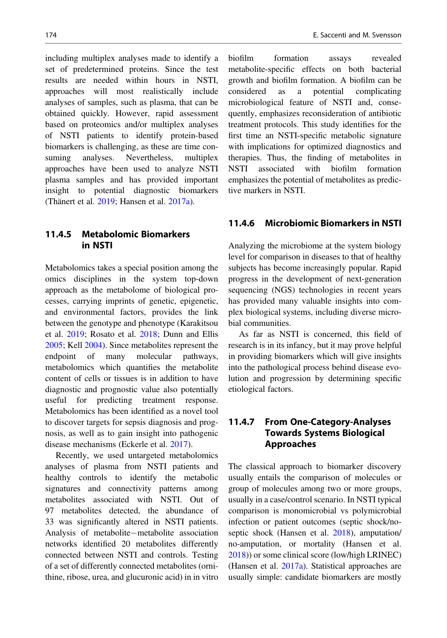including multiplex analyses made to identify a set of predetermined proteins. Since the test results are needed within hours in NSTI, approaches will most realistically include analyses of samples, such as plasma, that can be obtained quickly. However, rapid assessment based on proteomics and/or multiplex analyses of NSTI patients to identify protein-based biomarkers is challenging, as these are time consuming analyses. Nevertheless, multiplex approaches have been used to analyze NSTI plasma samples and has provided important insight to potential diagnostic biomarkers (Thänert et al. [2019;](#page-20-7) Hansen et al. [2017a](#page-19-2)).

# <span id="page-8-0"></span>11.4.5 Metabolomic Biomarkers in NSTI

Metabolomics takes a special position among the omics disciplines in the system top-down approach as the metabolome of biological processes, carrying imprints of genetic, epigenetic, and environmental factors, provides the link between the genotype and phenotype (Karakitsou et al. [2019](#page-19-7); Rosato et al. [2018;](#page-20-0) Dunn and Ellis [2005;](#page-18-10) Kell [2004\)](#page-19-8). Since metabolites represent the endpoint of many molecular pathways, metabolomics which quantifies the metabolite content of cells or tissues is in addition to have diagnostic and prognostic value also potentially useful for predicting treatment response. Metabolomics has been identified as a novel tool to discover targets for sepsis diagnosis and prognosis, as well as to gain insight into pathogenic disease mechanisms (Eckerle et al. [2017](#page-18-11)).

Recently, we used untargeted metabolomics analyses of plasma from NSTI patients and healthy controls to identify the metabolic signatures and connectivity patterns among metabolites associated with NSTI. Out of 97 metabolites detected, the abundance of 33 was significantly altered in NSTI patients. Analysis of metabolite-metabolite association networks identified 20 metabolites differently connected between NSTI and controls. Testing of a set of differently connected metabolites (ornithine, ribose, urea, and glucuronic acid) in in vitro

biofilm formation assays revealed metabolite-specific effects on both bacterial growth and biofilm formation. A biofilm can be considered as a potential complicating microbiological feature of NSTI and, consequently, emphasizes reconsideration of antibiotic treatment protocols. This study identifies for the first time an NSTI-specific metabolic signature with implications for optimized diagnostics and therapies. Thus, the finding of metabolites in NSTI associated with biofilm formation emphasizes the potential of metabolites as predictive markers in NSTI.

#### 11.4.6 Microbiomic Biomarkers in NSTI

Analyzing the microbiome at the system biology level for comparison in diseases to that of healthy subjects has become increasingly popular. Rapid progress in the development of next-generation sequencing (NGS) technologies in recent years has provided many valuable insights into complex biological systems, including diverse microbial communities.

As far as NSTI is concerned, this field of research is in its infancy, but it may prove helpful in providing biomarkers which will give insights into the pathological process behind disease evolution and progression by determining specific etiological factors.

# 11.4.7 From One-Category-Analyses Towards Systems Biological Approaches

The classical approach to biomarker discovery usually entails the comparison of molecules or group of molecules among two or more groups, usually in a case/control scenario. In NSTI typical comparison is monomicrobial vs polymicrobial infection or patient outcomes (septic shock/noseptic shock (Hansen et al. [2018](#page-19-9)), amputation/ no-amputation, or mortality (Hansen et al. [2018\)](#page-19-9)) or some clinical score (low/high LRINEC) (Hansen et al. [2017a](#page-19-2)). Statistical approaches are usually simple: candidate biomarkers are mostly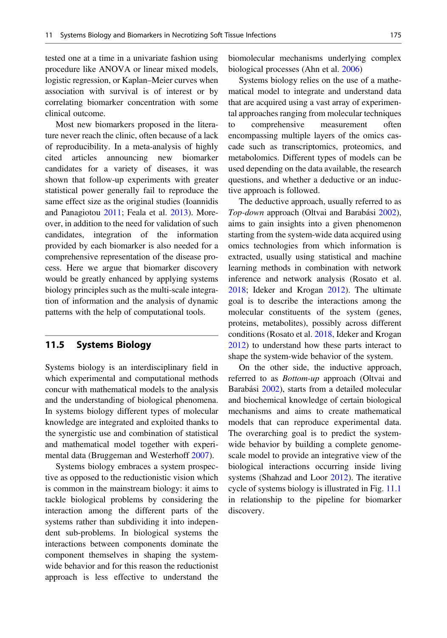tested one at a time in a univariate fashion using procedure like ANOVA or linear mixed models, logistic regression, or Kaplan–Meier curves when association with survival is of interest or by correlating biomarker concentration with some clinical outcome.

Most new biomarkers proposed in the literature never reach the clinic, often because of a lack of reproducibility. In a meta-analysis of highly cited articles announcing new biomarker candidates for a variety of diseases, it was shown that follow-up experiments with greater statistical power generally fail to reproduce the same effect size as the original studies (Ioannidis and Panagiotou [2011](#page-19-5); Feala et al. [2013\)](#page-18-0). Moreover, in addition to the need for validation of such candidates, integration of the information provided by each biomarker is also needed for a comprehensive representation of the disease process. Here we argue that biomarker discovery would be greatly enhanced by applying systems biology principles such as the multi-scale integration of information and the analysis of dynamic patterns with the help of computational tools.

# 11.5 Systems Biology

Systems biology is an interdisciplinary field in which experimental and computational methods concur with mathematical models to the analysis and the understanding of biological phenomena. In systems biology different types of molecular knowledge are integrated and exploited thanks to the synergistic use and combination of statistical and mathematical model together with experimental data (Bruggeman and Westerhoff [2007](#page-18-12)).

Systems biology embraces a system prospective as opposed to the reductionistic vision which is common in the mainstream biology: it aims to tackle biological problems by considering the interaction among the different parts of the systems rather than subdividing it into independent sub-problems. In biological systems the interactions between components dominate the component themselves in shaping the systemwide behavior and for this reason the reductionist approach is less effective to understand the biomolecular mechanisms underlying complex biological processes (Ahn et al. [2006](#page-18-13))

Systems biology relies on the use of a mathematical model to integrate and understand data that are acquired using a vast array of experimental approaches ranging from molecular techniques to comprehensive measurement often encompassing multiple layers of the omics cascade such as transcriptomics, proteomics, and metabolomics. Different types of models can be used depending on the data available, the research questions, and whether a deductive or an inductive approach is followed.

The deductive approach, usually referred to as Top-down approach (Oltvai and Barabási [2002\)](#page-19-10), aims to gain insights into a given phenomenon starting from the system-wide data acquired using omics technologies from which information is extracted, usually using statistical and machine learning methods in combination with network inference and network analysis (Rosato et al. [2018;](#page-20-0) Ideker and Krogan [2012](#page-19-11)). The ultimate goal is to describe the interactions among the molecular constituents of the system (genes, proteins, metabolites), possibly across different conditions (Rosato et al. [2018](#page-20-0), Ideker and Krogan [2012\)](#page-19-11) to understand how these parts interact to shape the system-wide behavior of the system.

On the other side, the inductive approach, referred to as Bottom-up approach (Oltvai and Barabási [2002\)](#page-19-10), starts from a detailed molecular and biochemical knowledge of certain biological mechanisms and aims to create mathematical models that can reproduce experimental data. The overarching goal is to predict the systemwide behavior by building a complete genomescale model to provide an integrative view of the biological interactions occurring inside living systems (Shahzad and Loor [2012](#page-20-12)). The iterative cycle of systems biology is illustrated in Fig. [11.1](#page-4-0) in relationship to the pipeline for biomarker discovery.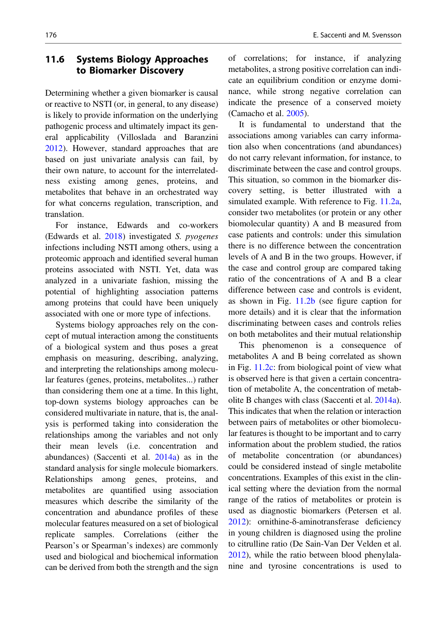# <span id="page-10-0"></span>11.6 Systems Biology Approaches to Biomarker Discovery

Determining whether a given biomarker is causal or reactive to NSTI (or, in general, to any disease) is likely to provide information on the underlying pathogenic process and ultimately impact its general applicability (Villoslada and Baranzini [2012\)](#page-20-13). However, standard approaches that are based on just univariate analysis can fail, by their own nature, to account for the interrelatedness existing among genes, proteins, and metabolites that behave in an orchestrated way for what concerns regulation, transcription, and translation.

For instance, Edwards and co-workers (Edwards et al. [2018](#page-18-14)) investigated S. pyogenes infections including NSTI among others, using a proteomic approach and identified several human proteins associated with NSTI. Yet, data was analyzed in a univariate fashion, missing the potential of highlighting association patterns among proteins that could have been uniquely associated with one or more type of infections.

Systems biology approaches rely on the concept of mutual interaction among the constituents of a biological system and thus poses a great emphasis on measuring, describing, analyzing, and interpreting the relationships among molecular features (genes, proteins, metabolites...) rather than considering them one at a time. In this light, top-down systems biology approaches can be considered multivariate in nature, that is, the analysis is performed taking into consideration the relationships among the variables and not only their mean levels (i.e. concentration and abundances) (Saccenti et al. [2014a](#page-20-14)) as in the standard analysis for single molecule biomarkers. Relationships among genes, proteins, and metabolites are quantified using association measures which describe the similarity of the concentration and abundance profiles of these molecular features measured on a set of biological replicate samples. Correlations (either the Pearson's or Spearman's indexes) are commonly used and biological and biochemical information can be derived from both the strength and the sign of correlations; for instance, if analyzing metabolites, a strong positive correlation can indicate an equilibrium condition or enzyme dominance, while strong negative correlation can indicate the presence of a conserved moiety (Camacho et al. [2005\)](#page-18-15).

It is fundamental to understand that the associations among variables can carry information also when concentrations (and abundances) do not carry relevant information, for instance, to discriminate between the case and control groups. This situation, so common in the biomarker discovery setting, is better illustrated with a simulated example. With reference to Fig. [11.2a](#page-11-0), consider two metabolites (or protein or any other biomolecular quantity) A and B measured from case patients and controls: under this simulation there is no difference between the concentration levels of A and B in the two groups. However, if the case and control group are compared taking ratio of the concentrations of A and B a clear difference between case and controls is evident, as shown in Fig. [11.2b](#page-11-0) (see figure caption for more details) and it is clear that the information discriminating between cases and controls relies on both metabolites and their mutual relationship

This phenomenon is a consequence of metabolites A and B being correlated as shown in Fig. [11.2c:](#page-11-0) from biological point of view what is observed here is that given a certain concentration of metabolite A, the concentration of metabolite B changes with class (Saccenti et al. [2014a\)](#page-20-14). This indicates that when the relation or interaction between pairs of metabolites or other biomolecular features is thought to be important and to carry information about the problem studied, the ratios of metabolite concentration (or abundances) could be considered instead of single metabolite concentrations. Examples of this exist in the clinical setting where the deviation from the normal range of the ratios of metabolites or protein is used as diagnostic biomarkers (Petersen et al. [2012\)](#page-19-12): ornithine-δ-aminotransferase deficiency in young children is diagnosed using the proline to citrulline ratio (De Sain-Van Der Velden et al. [2012\)](#page-18-16), while the ratio between blood phenylalanine and tyrosine concentrations is used to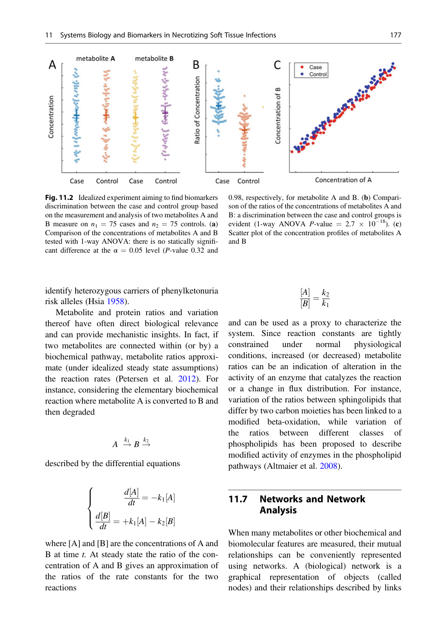<span id="page-11-0"></span>

Fig. 11.2 Idealized experiment aiming to find biomarkers discrimination between the case and control group based on the measurement and analysis of two metabolites A and B measure on  $n_1 = 75$  cases and  $n_2 = 75$  controls. (a) Comparison of the concentrations of metabolites A and B tested with 1-way ANOVA: there is no statically significant difference at the  $\alpha = 0.05$  level (*P*-value 0.32 and

0.98, respectively, for metabolite A and B. (b) Comparison of the ratios of the concentrations of metabolites A and B: a discrimination between the case and control groups is evident (1-way ANOVA *P*-value =  $2.7 \times 10^{-18}$ ). (c) Scatter plot of the concentration profiles of metabolites A and B

identify heterozygous carriers of phenylketonuria risk alleles (Hsia [1958](#page-19-13)).

Metabolite and protein ratios and variation thereof have often direct biological relevance and can provide mechanistic insights. In fact, if two metabolites are connected within (or by) a biochemical pathway, metabolite ratios approximate (under idealized steady state assumptions) the reaction rates (Petersen et al. [2012](#page-19-12)). For instance, considering the elementary biochemical reaction where metabolite A is converted to B and then degraded

$$
A \stackrel{k_1}{\rightarrow} B \stackrel{k_2}{\rightarrow}
$$

described by the differential equations

$$
\begin{cases}\n\frac{d[A]}{dt} = -k_1[A] \\
\frac{d[B]}{dt} = +k_1[A] - k_2[B]\n\end{cases}
$$

where [A] and [B] are the concentrations of A and B at time *t*. At steady state the ratio of the concentration of A and B gives an approximation of the ratios of the rate constants for the two reactions

$$
\frac{[A]}{[B]} = \frac{k_2}{k_1}
$$

and can be used as a proxy to characterize the system. Since reaction constants are tightly constrained under normal physiological conditions, increased (or decreased) metabolite ratios can be an indication of alteration in the activity of an enzyme that catalyzes the reaction or a change in flux distribution. For instance, variation of the ratios between sphingolipids that differ by two carbon moieties has been linked to a modified beta-oxidation, while variation of the ratios between different classes of phospholipids has been proposed to describe modified activity of enzymes in the phospholipid pathways (Altmaier et al. [2008](#page-18-17)).

# 11.7 Networks and Network Analysis

When many metabolites or other biochemical and biomolecular features are measured, their mutual relationships can be conveniently represented using networks. A (biological) network is a graphical representation of objects (called nodes) and their relationships described by links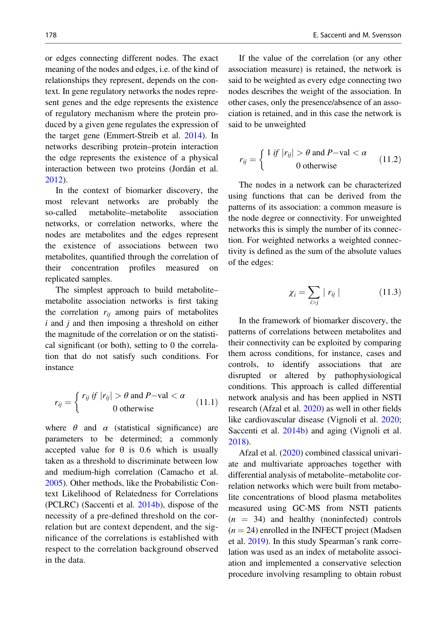or edges connecting different nodes. The exact meaning of the nodes and edges, i.e. of the kind of relationships they represent, depends on the context. In gene regulatory networks the nodes represent genes and the edge represents the existence of regulatory mechanism where the protein produced by a given gene regulates the expression of the target gene (Emmert-Streib et al. [2014](#page-18-18)). In networks describing protein–protein interaction the edge represents the existence of a physical interaction between two proteins (Jordán et al. [2012\)](#page-19-14).

In the context of biomarker discovery, the most relevant networks are probably the so-called metabolite–metabolite association networks, or correlation networks, where the nodes are metabolites and the edges represent the existence of associations between two metabolites, quantified through the correlation of their concentration profiles measured on replicated samples.

<span id="page-12-0"></span>The simplest approach to build metabolite– metabolite association networks is first taking the correlation  $r_{ii}$  among pairs of metabolites  $i$  and  $j$  and then imposing a threshold on either the magnitude of the correlation or on the statistical significant (or both), setting to 0 the correlation that do not satisfy such conditions. For instance

$$
r_{ij} = \begin{cases} r_{ij} & \text{if } |r_{ij}| > \theta \text{ and } P-\text{val} < \alpha \\ 0 & \text{otherwise} \end{cases} (11.1)
$$

where  $\theta$  and  $\alpha$  (statistical significance) are parameters to be determined; a commonly accepted value for  $\theta$  is 0.6 which is usually taken as a threshold to discriminate between low and medium-high correlation (Camacho et al. [2005\)](#page-18-15). Other methods, like the Probabilistic Context Likelihood of Relatedness for Correlations (PCLRC) (Saccenti et al. [2014b\)](#page-20-15), dispose of the necessity of a pre-defined threshold on the correlation but are context dependent, and the significance of the correlations is established with respect to the correlation background observed in the data.

If the value of the correlation (or any other association measure) is retained, the network is said to be weighted as every edge connecting two nodes describes the weight of the association. In other cases, only the presence/absence of an association is retained, and in this case the network is said to be unweighted

$$
r_{ij} = \begin{cases} 1 \text{ if } |r_{ij}| > \theta \text{ and } P-\text{val} < \alpha \\ 0 \text{ otherwise} \end{cases} (11.2)
$$

The nodes in a network can be characterized using functions that can be derived from the patterns of its association: a common measure is the node degree or connectivity. For unweighted networks this is simply the number of its connection. For weighted networks a weighted connectivity is defined as the sum of the absolute values of the edges:

$$
\chi_i = \sum_{i>j} |r_{ij}| \qquad (11.3)
$$

In the framework of biomarker discovery, the patterns of correlations between metabolites and their connectivity can be exploited by comparing them across conditions, for instance, cases and controls, to identify associations that are disrupted or altered by pathophysiological conditions. This approach is called differential network analysis and has been applied in NSTI research (Afzal et al. [2020\)](#page-18-7) as well in other fields like cardiovascular disease (Vignoli et al. [2020;](#page-20-16) Saccenti et al. [2014b\)](#page-20-15) and aging (Vignoli et al. [2018\)](#page-20-17).

Afzal et al. [\(2020](#page-18-7)) combined classical univariate and multivariate approaches together with differential analysis of metabolite–metabolite correlation networks which were built from metabolite concentrations of blood plasma metabolites measured using GC-MS from NSTI patients  $(n = 34)$  and healthy (noninfected) controls  $(n = 24)$  enrolled in the INFECT project (Madsen et al. [2019\)](#page-19-1). In this study Spearman's rank correlation was used as an index of metabolite association and implemented a conservative selection procedure involving resampling to obtain robust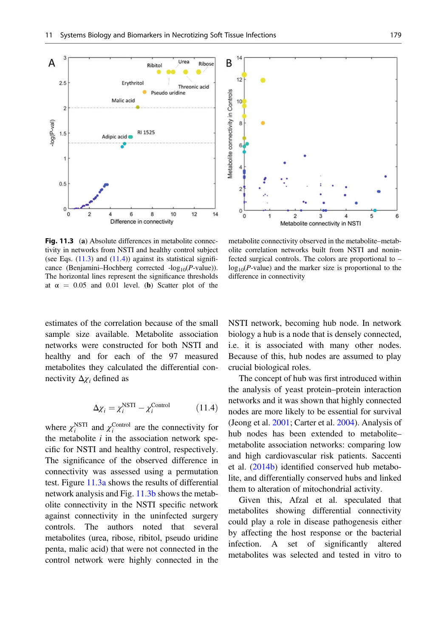<span id="page-13-0"></span>



Fig. 11.3 (a) Absolute differences in metabolite connectivity in networks from NSTI and healthy control subject (see Eqs.  $(11.3)$  and  $(11.4)$  $(11.4)$ ) against its statistical significance (Benjamini–Hochberg corrected  $-log_{10}(P-value)$ ). The horizontal lines represent the significance thresholds at  $\alpha = 0.05$  and 0.01 level. (b) Scatter plot of the

metabolite connectivity observed in the metabolite–metabolite correlation networks built from NSTI and noninfected surgical controls. The colors are proportional to –  $log_{10}(P\text{-value})$  and the marker size is proportional to the difference in connectivity

estimates of the correlation because of the small sample size available. Metabolite association networks were constructed for both NSTI and healthy and for each of the 97 measured metabolites they calculated the differential connectivity  $\Delta \chi_i$  defined as

$$
\Delta \chi_i = \chi_i^{\text{NSTI}} - \chi_i^{\text{Control}} \tag{11.4}
$$

<span id="page-13-1"></span>where  $\chi_i^{\text{NSTI}}$  and  $\chi_i^{\text{Control}}$  are the connectivity for the metabolite  $i$  in the association network specific for NSTI and healthy control, respectively. The significance of the observed difference in connectivity was assessed using a permutation test. Figure [11.3a](#page-13-0) shows the results of differential network analysis and Fig. [11.3b](#page-13-0) shows the metabolite connectivity in the NSTI specific network against connectivity in the uninfected surgery controls. The authors noted that several metabolites (urea, ribose, ribitol, pseudo uridine penta, malic acid) that were not connected in the control network were highly connected in the NSTI network, becoming hub node. In network biology a hub is a node that is densely connected, i.e. it is associated with many other nodes. Because of this, hub nodes are assumed to play crucial biological roles.

The concept of hub was first introduced within the analysis of yeast protein–protein interaction networks and it was shown that highly connected nodes are more likely to be essential for survival (Jeong et al. [2001;](#page-19-15) Carter et al. [2004](#page-18-19)). Analysis of hub nodes has been extended to metabolite– metabolite association networks: comparing low and high cardiovascular risk patients. Saccenti et al. [\(2014b](#page-20-15)) identified conserved hub metabolite, and differentially conserved hubs and linked them to alteration of mitochondrial activity.

Given this, Afzal et al. speculated that metabolites showing differential connectivity could play a role in disease pathogenesis either by affecting the host response or the bacterial infection. A set of significantly altered metabolites was selected and tested in vitro to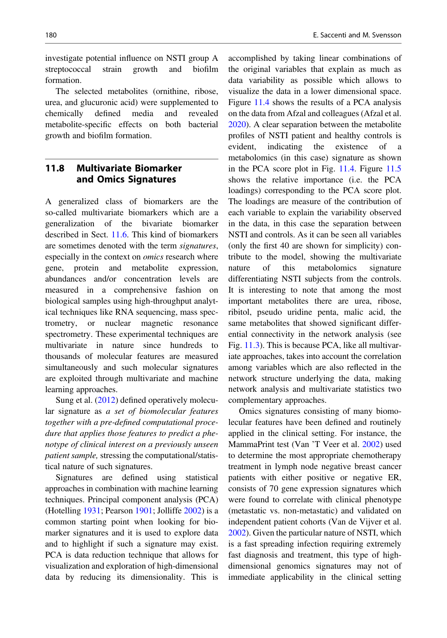investigate potential influence on NSTI group A streptococcal strain growth and biofilm formation.

The selected metabolites (ornithine, ribose, urea, and glucuronic acid) were supplemented to chemically defined media and revealed metabolite-specific effects on both bacterial growth and biofilm formation.

# 11.8 Multivariate Biomarker and Omics Signatures

A generalized class of biomarkers are the so-called multivariate biomarkers which are a generalization of the bivariate biomarker described in Sect. [11.6](#page-10-0). This kind of biomarkers are sometimes denoted with the term signatures, especially in the context on omics research where gene, protein and metabolite expression, abundances and/or concentration levels are measured in a comprehensive fashion on biological samples using high-throughput analytical techniques like RNA sequencing, mass spectrometry, or nuclear magnetic resonance spectrometry. These experimental techniques are multivariate in nature since hundreds to thousands of molecular features are measured simultaneously and such molecular signatures are exploited through multivariate and machine learning approaches.

Sung et al. [\(2012](#page-20-18)) defined operatively molecular signature as a set of biomolecular features together with a pre-defined computational procedure that applies those features to predict a phenotype of clinical interest on a previously unseen patient sample, stressing the computational/statistical nature of such signatures.

Signatures are defined using statistical approaches in combination with machine learning techniques. Principal component analysis (PCA) (Hotelling [1931;](#page-19-16) Pearson [1901;](#page-19-17) Jolliffe [2002\)](#page-19-18) is a common starting point when looking for biomarker signatures and it is used to explore data and to highlight if such a signature may exist. PCA is data reduction technique that allows for visualization and exploration of high-dimensional data by reducing its dimensionality. This is

accomplished by taking linear combinations of the original variables that explain as much as data variability as possible which allows to visualize the data in a lower dimensional space. Figure [11.4](#page-15-0) shows the results of a PCA analysis on the data from Afzal and colleagues (Afzal et al. [2020\)](#page-18-7). A clear separation between the metabolite profiles of NSTI patient and healthy controls is evident, indicating the existence of a metabolomics (in this case) signature as shown in the PCA score plot in Fig. [11.4](#page-15-0). Figure [11.5](#page-15-1) shows the relative importance (i.e. the PCA loadings) corresponding to the PCA score plot. The loadings are measure of the contribution of each variable to explain the variability observed in the data, in this case the separation between NSTI and controls. As it can be seen all variables (only the first 40 are shown for simplicity) contribute to the model, showing the multivariate nature of this metabolomics signature differentiating NSTI subjects from the controls. It is interesting to note that among the most important metabolites there are urea, ribose, ribitol, pseudo uridine penta, malic acid, the same metabolites that showed significant differential connectivity in the network analysis (see Fig. [11.3](#page-13-0)). This is because PCA, like all multivariate approaches, takes into account the correlation among variables which are also reflected in the network structure underlying the data, making network analysis and multivariate statistics two complementary approaches.

Omics signatures consisting of many biomolecular features have been defined and routinely applied in the clinical setting. For instance, the MammaPrint test (Van 'T Veer et al. [2002](#page-20-19)) used to determine the most appropriate chemotherapy treatment in lymph node negative breast cancer patients with either positive or negative ER, consists of 70 gene expression signatures which were found to correlate with clinical phenotype (metastatic vs. non-metastatic) and validated on independent patient cohorts (Van de Vijver et al. [2002\)](#page-20-14). Given the particular nature of NSTI, which is a fast spreading infection requiring extremely fast diagnosis and treatment, this type of highdimensional genomics signatures may not of immediate applicability in the clinical setting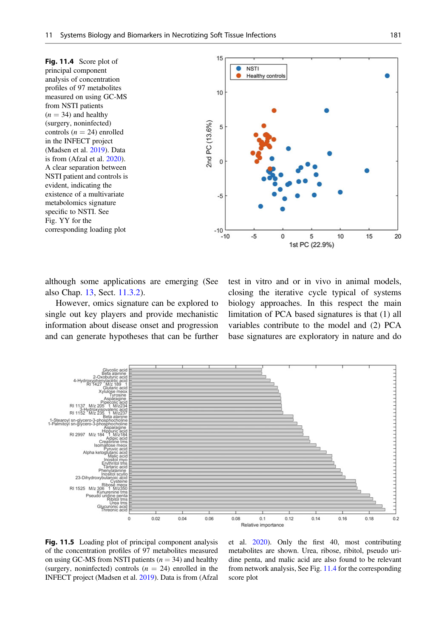<span id="page-15-0"></span>

although some applications are emerging (See also Chap. [13](https://doi.org/10.1007/978-3-030-57616-5_13), Sect. [11.3.2](#page-4-1)).

However, omics signature can be explored to single out key players and provide mechanistic information about disease onset and progression and can generate hypotheses that can be further test in vitro and or in vivo in animal models, closing the iterative cycle typical of systems biology approaches. In this respect the main limitation of PCA based signatures is that (1) all variables contribute to the model and (2) PCA base signatures are exploratory in nature and do

<span id="page-15-1"></span>

Fig. 11.5 Loading plot of principal component analysis of the concentration profiles of 97 metabolites measured on using GC-MS from NSTI patients ( $n = 34$ ) and healthy (surgery, noninfected) controls  $(n = 24)$  enrolled in the INFECT project (Madsen et al. [2019](#page-19-1)). Data is from (Afzal

et al. [2020](#page-18-7)). Only the first 40, most contributing metabolites are shown. Urea, ribose, ribitol, pseudo uridine penta, and malic acid are also found to be relevant from network analysis, See Fig. [11.4](#page-15-0) for the corresponding score plot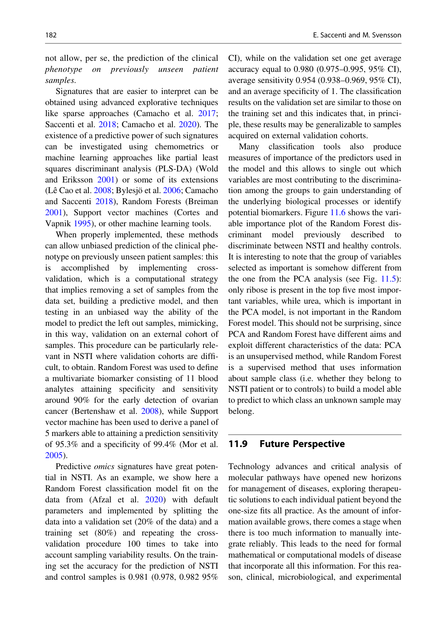not allow, per se, the prediction of the clinical phenotype on previously unseen patient samples.

Signatures that are easier to interpret can be obtained using advanced explorative techniques like sparse approaches (Camacho et al. [2017;](#page-18-20) Saccenti et al. [2018](#page-20-20); Camacho et al. [2020](#page-18-21)). The existence of a predictive power of such signatures can be investigated using chemometrics or machine learning approaches like partial least squares discriminant analysis (PLS-DA) (Wold and Eriksson [2001\)](#page-20-7) or some of its extensions (Lê Cao et al. [2008;](#page-19-19) Bylesjö et al. [2006](#page-18-22); Camacho and Saccenti [2018\)](#page-18-23), Random Forests (Breiman [2001\)](#page-18-24), Support vector machines (Cortes and Vapnik [1995](#page-18-25)), or other machine learning tools.

When properly implemented, these methods can allow unbiased prediction of the clinical phenotype on previously unseen patient samples: this is accomplished by implementing crossvalidation, which is a computational strategy that implies removing a set of samples from the data set, building a predictive model, and then testing in an unbiased way the ability of the model to predict the left out samples, mimicking, in this way, validation on an external cohort of samples. This procedure can be particularly relevant in NSTI where validation cohorts are difficult, to obtain. Random Forest was used to define a multivariate biomarker consisting of 11 blood analytes attaining specificity and sensitivity around 90% for the early detection of ovarian cancer (Bertenshaw et al. [2008](#page-18-26)), while Support vector machine has been used to derive a panel of 5 markers able to attaining a prediction sensitivity of 95.3% and a specificity of 99.4% (Mor et al. [2005\)](#page-19-20).

Predictive *omics* signatures have great potential in NSTI. As an example, we show here a Random Forest classification model fit on the data from (Afzal et al. [2020](#page-18-7)) with default parameters and implemented by splitting the data into a validation set (20% of the data) and a training set (80%) and repeating the crossvalidation procedure 100 times to take into account sampling variability results. On the training set the accuracy for the prediction of NSTI and control samples is 0.981 (0.978, 0.982 95%

CI), while on the validation set one get average accuracy equal to 0.980 (0.975–0.995, 95% CI), average sensitivity 0.954 (0.938–0.969, 95% CI), and an average specificity of 1. The classification results on the validation set are similar to those on the training set and this indicates that, in principle, these results may be generalizable to samples acquired on external validation cohorts.

Many classification tools also produce measures of importance of the predictors used in the model and this allows to single out which variables are most contributing to the discrimination among the groups to gain understanding of the underlying biological processes or identify potential biomarkers. Figure [11.6](#page-17-0) shows the variable importance plot of the Random Forest discriminant model previously described to discriminate between NSTI and healthy controls. It is interesting to note that the group of variables selected as important is somehow different from the one from the PCA analysis (see Fig. [11.5\)](#page-15-1): only ribose is present in the top five most important variables, while urea, which is important in the PCA model, is not important in the Random Forest model. This should not be surprising, since PCA and Random Forest have different aims and exploit different characteristics of the data: PCA is an unsupervised method, while Random Forest is a supervised method that uses information about sample class (i.e. whether they belong to NSTI patient or to controls) to build a model able to predict to which class an unknown sample may belong.

#### 11.9 Future Perspective

Technology advances and critical analysis of molecular pathways have opened new horizons for management of diseases, exploring therapeutic solutions to each individual patient beyond the one-size fits all practice. As the amount of information available grows, there comes a stage when there is too much information to manually integrate reliably. This leads to the need for formal mathematical or computational models of disease that incorporate all this information. For this reason, clinical, microbiological, and experimental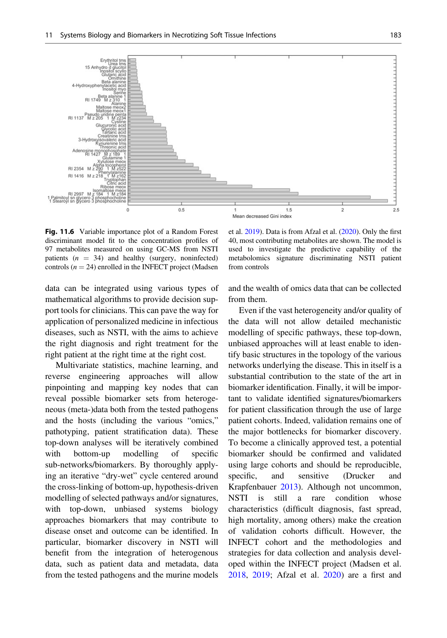<span id="page-17-0"></span>

Fig. 11.6 Variable importance plot of a Random Forest discriminant model fit to the concentration profiles of 97 metabolites measured on using GC-MS from NSTI patients  $(n = 34)$  and healthy (surgery, noninfected) controls  $(n = 24)$  enrolled in the INFECT project (Madsen

data can be integrated using various types of mathematical algorithms to provide decision support tools for clinicians. This can pave the way for application of personalized medicine in infectious diseases, such as NSTI, with the aims to achieve the right diagnosis and right treatment for the right patient at the right time at the right cost.

Multivariate statistics, machine learning, and reverse engineering approaches will allow pinpointing and mapping key nodes that can reveal possible biomarker sets from heterogeneous (meta-)data both from the tested pathogens and the hosts (including the various "omics," pathotyping, patient stratification data). These top-down analyses will be iteratively combined with bottom-up modelling of specific sub-networks/biomarkers. By thoroughly applying an iterative "dry-wet" cycle centered around the cross-linking of bottom-up, hypothesis-driven modelling of selected pathways and/or signatures, with top-down, unbiased systems biology approaches biomarkers that may contribute to disease onset and outcome can be identified. In particular, biomarker discovery in NSTI will benefit from the integration of heterogenous data, such as patient data and metadata, data from the tested pathogens and the murine models

et al. [2019](#page-19-1)). Data is from Afzal et al. ([2020\)](#page-18-7). Only the first 40, most contributing metabolites are shown. The model is used to investigate the predictive capability of the metabolomics signature discriminating NSTI patient from controls

and the wealth of omics data that can be collected from them.

Even if the vast heterogeneity and/or quality of the data will not allow detailed mechanistic modelling of specific pathways, these top-down, unbiased approaches will at least enable to identify basic structures in the topology of the various networks underlying the disease. This in itself is a substantial contribution to the state of the art in biomarker identification. Finally, it will be important to validate identified signatures/biomarkers for patient classification through the use of large patient cohorts. Indeed, validation remains one of the major bottlenecks for biomarker discovery. To become a clinically approved test, a potential biomarker should be confirmed and validated using large cohorts and should be reproducible, specific, and sensitive (Drucker and Krapfenbauer [2013\)](#page-18-5). Although not uncommon, NSTI is still a rare condition whose characteristics (difficult diagnosis, fast spread, high mortality, among others) make the creation of validation cohorts difficult. However, the INFECT cohort and the methodologies and strategies for data collection and analysis developed within the INFECT project (Madsen et al. [2018,](#page-19-21) [2019](#page-19-1); Afzal et al. [2020](#page-18-7)) are a first and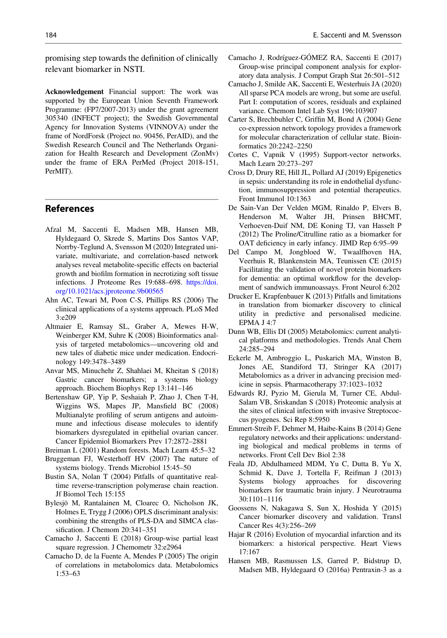<span id="page-18-20"></span>promising step towards the definition of clinically relevant biomarker in NSTI.

<span id="page-18-21"></span><span id="page-18-19"></span>Acknowledgement Financial support: The work was supported by the European Union Seventh Framework Programme: (FP7/2007-2013) under the grant agreement 305340 (INFECT project); the Swedish Governmental Agency for Innovation Systems (VINNOVA) under the frame of NordForsk (Project no. 90456, PerAID), and the Swedish Research Council and The Netherlands Organization for Health Research and Development (ZonMv) under the frame of ERA PerMed (Project 2018-151, PerMIT).

### <span id="page-18-25"></span><span id="page-18-16"></span><span id="page-18-9"></span>References

- <span id="page-18-7"></span><span id="page-18-6"></span>Afzal M, Saccenti E, Madsen MB, Hansen MB, Hyldegaard O, Skrede S, Martins Dos Santos VAP, Norrby-Teglund A, Svensson M (2020) Integrated univariate, multivariate, and correlation-based network analyses reveal metabolite-specific effects on bacterial growth and biofilm formation in necrotizing soft tissue infections. J Proteome Res 19:688–698. [https://doi.](https://doi.org/10.1021/acs.jproteome.9b00565) [org/10.1021/acs.jproteome.9b00565](https://doi.org/10.1021/acs.jproteome.9b00565)
- <span id="page-18-13"></span><span id="page-18-5"></span>Ahn AC, Tewari M, Poon C-S, Phillips RS (2006) The clinical applications of a systems approach. PLoS Med 3:e209
- <span id="page-18-17"></span><span id="page-18-10"></span>Altmaier E, Ramsay SL, Graber A, Mewes H-W, Weinberger KM, Suhre K (2008) Bioinformatics analysis of targeted metabolomics—uncovering old and new tales of diabetic mice under medication. Endocrinology 149:3478–3489
- <span id="page-18-11"></span><span id="page-18-1"></span>Anvar MS, Minuchehr Z, Shahlaei M, Kheitan S (2018) Gastric cancer biomarkers; a systems biology approach. Biochem Biophys Rep 13:141–146
- <span id="page-18-26"></span><span id="page-18-14"></span>Bertenshaw GP, Yip P, Seshaiah P, Zhao J, Chen T-H, Wiggins WS, Mapes JP, Mansfield BC (2008) Multianalyte profiling of serum antigens and autoimmune and infectious disease molecules to identify biomarkers dysregulated in epithelial ovarian cancer. Cancer Epidemiol Biomarkers Prev 17:2872–2881
- <span id="page-18-24"></span><span id="page-18-18"></span><span id="page-18-12"></span>Breiman L (2001) Random forests. Mach Learn 45:5–32
- <span id="page-18-8"></span><span id="page-18-0"></span>Bruggeman FJ, Westerhoff HV (2007) The nature of systems biology. Trends Microbiol 15:45–50
- Bustin SA, Nolan T (2004) Pitfalls of quantitative realtime reverse-transcription polymerase chain reaction. Jf Biomol Tech 15:155
- <span id="page-18-22"></span><span id="page-18-3"></span>Bylesjö M, Rantalainen M, Cloarec O, Nicholson JK, Holmes E, Trygg J (2006) OPLS discriminant analysis: combining the strengths of PLS-DA and SIMCA classification. J Chemom 20:341–351
- <span id="page-18-23"></span><span id="page-18-15"></span><span id="page-18-2"></span>Camacho J, Saccenti E (2018) Group-wise partial least square regression. J Chemometr 32:e2964
- <span id="page-18-4"></span>Camacho D, de la Fuente A, Mendes P (2005) The origin of correlations in metabolomics data. Metabolomics 1:53–63
- Camacho J, Rodríguez-GÓMEZ RA, Saccenti E (2017) Group-wise principal component analysis for exploratory data analysis. J Comput Graph Stat 26:501–512
- Camacho J, Smilde AK, Saccenti E, Westerhuis JA (2020) All sparse PCA models are wrong, but some are useful. Part I: computation of scores, residuals and explained variance. Chemom Intel Lab Syst 196:103907
- Carter S, Brechbuhler C, Griffin M, Bond A (2004) Gene co-expression network topology provides a framework for molecular characterization of cellular state. Bioinformatics 20:2242–2250
- Cortes C, Vapnik V (1995) Support-vector networks. Mach Learn 20:273–297
- Cross D, Drury RE, Hill JL, Pollard AJ (2019) Epigenetics in sepsis: understanding its role in endothelial dysfunction, immunosuppression and potential therapeutics. Front Immunol 10:1363
- De Sain-Van Der Velden MGM, Rinaldo P, Elvers B, Henderson M, Walter JH, Prinsen BHCMT, Verhoeven-Duif NM, DE Koning TJ, van Hasselt P (2012) The Proline/Citrulline ratio as a biomarker for OAT deficiency in early infancy. JIMD Rep 6:95–99
- Del Campo M, Jongbloed W, Twaalfhoven HA, Veerhuis R, Blankenstein MA, Teunissen CE (2015) Facilitating the validation of novel protein biomarkers for dementia: an optimal workflow for the development of sandwich immunoassays. Front Neurol 6:202
- Drucker E, Krapfenbauer K (2013) Pitfalls and limitations in translation from biomarker discovery to clinical utility in predictive and personalised medicine. EPMA J 4:7
- Dunn WB, Ellis DI (2005) Metabolomics: current analytical platforms and methodologies. Trends Anal Chem 24:285–294
- Eckerle M, Ambroggio L, Puskarich MA, Winston B, Jones AE, Standiford TJ, Stringer KA (2017) Metabolomics as a driver in advancing precision medicine in sepsis. Pharmacotherapy 37:1023–1032
- Edwards RJ, Pyzio M, Gierula M, Turner CE, Abdul-Salam VB, Sriskandan S (2018) Proteomic analysis at the sites of clinical infection with invasive Streptococcus pyogenes. Sci Rep 8:5950
- Emmert-Streib F, Dehmer M, Haibe-Kains B (2014) Gene regulatory networks and their applications: understanding biological and medical problems in terms of networks. Front Cell Dev Biol 2:38
- Feala JD, Abdulhameed MDM, Yu C, Dutta B, Yu X, Schmid K, Dave J, Tortella F, Reifman J (2013) Systems biology approaches for discovering biomarkers for traumatic brain injury. J Neurotrauma 30:1101–1116
- Goossens N, Nakagawa S, Sun X, Hoshida Y (2015) Cancer biomarker discovery and validation. Transl Cancer Res 4(3):256–269
- Hajar R (2016) Evolution of myocardial infarction and its biomarkers: a historical perspective. Heart Views 17:167
- Hansen MB, Rasmussen LS, Garred P, Bidstrup D, Madsen MB, Hyldegaard O (2016a) Pentraxin-3 as a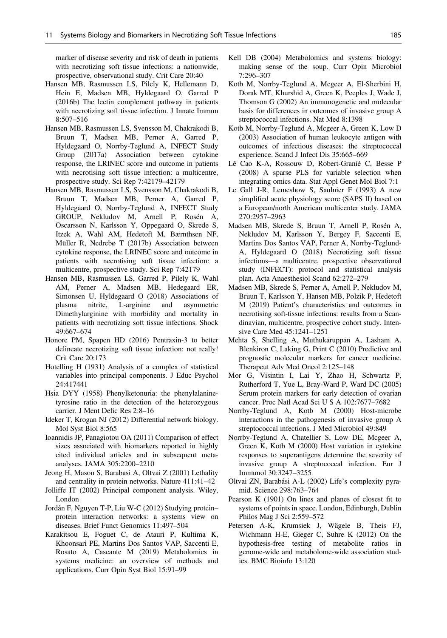marker of disease severity and risk of death in patients with necrotizing soft tissue infections: a nationwide, prospective, observational study. Crit Care 20:40

- <span id="page-19-8"></span><span id="page-19-4"></span>Hansen MB, Rasmussen LS, Pilely K, Hellemann D, Hein E, Madsen MB, Hyldegaard O, Garred P (2016b) The lectin complement pathway in patients with necrotizing soft tissue infection. J Innate Immun 8:507–516
- <span id="page-19-2"></span>Hansen MB, Rasmussen LS, Svensson M, Chakrakodi B, Bruun T, Madsen MB, Perner A, Garred P, Hyldegaard O, Norrby-Teglund A, INFECT Study Group (2017a) Association between cytokine response, the LRINEC score and outcome in patients with necrotising soft tissue infection: a multicentre, prospective study. Sci Rep 7:42179–42179
- <span id="page-19-21"></span><span id="page-19-19"></span><span id="page-19-3"></span>Hansen MB, Rasmussen LS, Svensson M, Chakrakodi B, Bruun T, Madsen MB, Perner A, Garred P, Hyldegaard O, Norrby-Teglund A, INFECT Study GROUP, Nekludov M, Arnell P, Rosén A, Oscarsson N, Karlsson Y, Oppegaard O, Skrede S, Itzek A, Wahl AM, Hedetoft M, Bærnthsen NF, Müller R, Nedrebø T (2017b) Association between cytokine response, the LRINEC score and outcome in patients with necrotising soft tissue infection: a multicentre, prospective study. Sci Rep 7:42179
- <span id="page-19-9"></span><span id="page-19-1"></span>Hansen MB, Rasmussen LS, Garred P, Pilely K, Wahl AM, Perner A, Madsen MB, Hedegaard ER, Simonsen U, Hyldegaard O (2018) Associations of plasma nitrite, L-arginine and asymmetric Dimethylarginine with morbidity and mortality in patients with necrotizing soft tissue infections. Shock 49:667–674
- <span id="page-19-0"></span>Honore PM, Spapen HD (2016) Pentraxin-3 to better delineate necrotizing soft tissue infection: not really! Crit Care 20:173
- <span id="page-19-20"></span><span id="page-19-16"></span>Hotelling H (1931) Analysis of a complex of statistical variables into principal components. J Educ Psychol 24:417441
- <span id="page-19-13"></span>Hsia DYY (1958) Phenylketonuria: the phenylalaninetyrosine ratio in the detection of the heterozygous carrier. J Ment Defic Res 2:8–16
- <span id="page-19-11"></span><span id="page-19-6"></span>Ideker T, Krogan NJ (2012) Differential network biology. Mol Syst Biol 8:565
- <span id="page-19-5"></span>Ioannidis JP, Panagiotou OA (2011) Comparison of effect sizes associated with biomarkers reported in highly cited individual articles and in subsequent metaanalyses. JAMA 305:2200–2210
- <span id="page-19-15"></span><span id="page-19-10"></span>Jeong H, Mason S, Barabasi A, Oltvai Z (2001) Lethality and centrality in protein networks. Nature 411:41–42
- <span id="page-19-18"></span><span id="page-19-17"></span>Jolliffe IT (2002) Principal component analysis. Wiley, London
- <span id="page-19-14"></span><span id="page-19-12"></span>Jordán F, Nguyen T-P, Liu W-C (2012) Studying protein– protein interaction networks: a systems view on diseases. Brief Funct Genomics 11:497–504
- <span id="page-19-7"></span>Karakitsou E, Foguet C, de Atauri P, Kultima K, Khoonsari PE, Martins Dos Santos VAP, Saccenti E, Rosato A, Cascante M (2019) Metabolomics in systems medicine: an overview of methods and applications. Curr Opin Syst Biol 15:91–99
- Kell DB (2004) Metabolomics and systems biology: making sense of the soup. Curr Opin Microbiol 7:296–307
- Kotb M, Norrby-Teglund A, Mcgeer A, El-Sherbini H, Dorak MT, Khurshid A, Green K, Peeples J, Wade J, Thomson G (2002) An immunogenetic and molecular basis for differences in outcomes of invasive group A streptococcal infections. Nat Med 8:1398
- Kotb M, Norrby-Teglund A, Mcgeer A, Green K, Low D (2003) Association of human leukocyte antigen with outcomes of infectious diseases: the streptococcal experience. Scand J Infect Dis 35:665–669
- Lê Cao K-A, Rossouw D, Robert-Granié C, Besse P (2008) A sparse PLS for variable selection when integrating omics data. Stat Appl Genet Mol Biol 7:1
- Le Gall J-R, Lemeshow S, Saulnier F (1993) A new simplified acute physiology score (SAPS II) based on a European/north American multicenter study. JAMA 270:2957–2963
- Madsen MB, Skrede S, Bruun T, Arnell P, Rosén A, Nekludov M, Karlsson Y, Bergey F, Saccenti E, Martins Dos Santos VAP, Perner A, Norrby-Teglund-A, Hyldegaard O (2018) Necrotizing soft tissue infections—a multicentre, prospective observational study (INFECT): protocol and statistical analysis plan. Acta Anaesthesiol Scand 62:272–279
- Madsen MB, Skrede S, Perner A, Arnell P, Nekludov M, Bruun T, Karlsson Y, Hansen MB, Polzik P, Hedetoft M (2019) Patient's characteristics and outcomes in necrotising soft-tissue infections: results from a Scandinavian, multicentre, prospective cohort study. Intensive Care Med 45:1241–1251
- Mehta S, Shelling A, Muthukaruppan A, Lasham A, Blenkiron C, Laking G, Print C (2010) Predictive and prognostic molecular markers for cancer medicine. Therapeut Adv Med Oncol 2:125–148
- Mor G, Visintin I, Lai Y, Zhao H, Schwartz P, Rutherford T, Yue L, Bray-Ward P, Ward DC (2005) Serum protein markers for early detection of ovarian cancer. Proc Natl Acad Sci U S A 102:7677–7682
- Norrby-Teglund A, Kotb M (2000) Host-microbe interactions in the pathogenesis of invasive group A streptococcal infections. J Med Microbiol 49:849
- Norrby-Teglund A, Chatellier S, Low DE, Mcgeer A, Green K, Kotb M (2000) Host variation in cytokine responses to superantigens determine the severity of invasive group A streptococcal infection. Eur J Immunol 30:3247–3255
- Oltvai ZN, Barabási A-L (2002) Life's complexity pyramid. Science 298:763–764
- Pearson K (1901) On lines and planes of closest fit to systems of points in space. London, Edinburgh, Dublin Philos Mag J Sci 2:559–572
- Petersen A-K, Krumsiek J, Wägele B, Theis FJ, Wichmann H-E, Gieger C, Suhre K (2012) On the hypothesis-free testing of metabolite ratios in genome-wide and metabolome-wide association studies. BMC Bioinfo 13:120